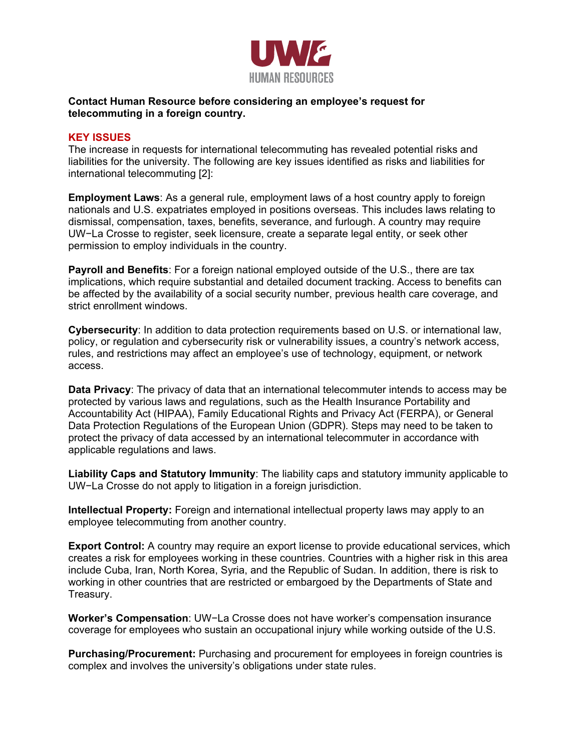

## **Contact Human Resource before considering an employee's request for telecommuting in a foreign country.**

## **KEY ISSUES**

The increase in requests for international telecommuting has revealed potential risks and liabilities for the university. The following are key issues identified as risks and liabilities for international telecommuting [2]:

**Employment Laws**: As a general rule, employment laws of a host country apply to foreign nationals and U.S. expatriates employed in positions overseas. This includes laws relating to dismissal, compensation, taxes, benefits, severance, and furlough. A country may require UW−La Crosse to register, seek licensure, create a separate legal entity, or seek other permission to employ individuals in the country.

**Payroll and Benefits**: For a foreign national employed outside of the U.S., there are tax implications, which require substantial and detailed document tracking. Access to benefits can be affected by the availability of a social security number, previous health care coverage, and strict enrollment windows.

**Cybersecurity**: In addition to data protection requirements based on U.S. or international law, policy, or regulation and cybersecurity risk or vulnerability issues, a country's network access, rules, and restrictions may affect an employee's use of technology, equipment, or network access.

**Data Privacy**: The privacy of data that an international telecommuter intends to access may be protected by various laws and regulations, such as the Health Insurance Portability and Accountability Act (HIPAA), Family Educational Rights and Privacy Act (FERPA), or General Data Protection Regulations of the European Union (GDPR). Steps may need to be taken to protect the privacy of data accessed by an international telecommuter in accordance with applicable regulations and laws.

**Liability Caps and Statutory Immunity**: The liability caps and statutory immunity applicable to UW−La Crosse do not apply to litigation in a foreign jurisdiction.

**Intellectual Property:** Foreign and international intellectual property laws may apply to an employee telecommuting from another country.

**Export Control:** A country may require an export license to provide educational services, which creates a risk for employees working in these countries. Countries with a higher risk in this area include Cuba, Iran, North Korea, Syria, and the Republic of Sudan. In addition, there is risk to working in other countries that are restricted or embargoed by the Departments of State and Treasury.

**Worker's Compensation**: UW−La Crosse does not have worker's compensation insurance coverage for employees who sustain an occupational injury while working outside of the U.S.

**Purchasing/Procurement:** Purchasing and procurement for employees in foreign countries is complex and involves the university's obligations under state rules.